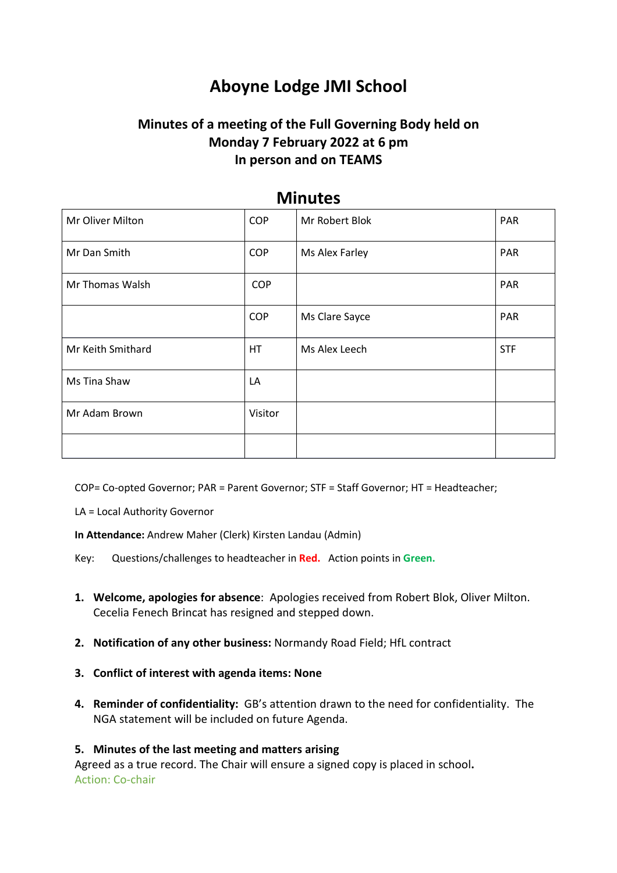# **Aboyne Lodge JMI School**

## **Minutes of a meeting of the Full Governing Body held on Monday 7 February 2022 at 6 pm In person and on TEAMS**

| Mr Oliver Milton  | <b>COP</b> | Mr Robert Blok | <b>PAR</b> |
|-------------------|------------|----------------|------------|
| Mr Dan Smith      | <b>COP</b> | Ms Alex Farley | PAR        |
| Mr Thomas Walsh   | <b>COP</b> |                | PAR        |
|                   | <b>COP</b> | Ms Clare Sayce | <b>PAR</b> |
| Mr Keith Smithard | HT         | Ms Alex Leech  | <b>STF</b> |
| Ms Tina Shaw      | LA         |                |            |
| Mr Adam Brown     | Visitor    |                |            |
|                   |            |                |            |

### **Minutes**

COP= Co-opted Governor; PAR = Parent Governor; STF = Staff Governor; HT = Headteacher;

LA = Local Authority Governor

**In Attendance:** Andrew Maher (Clerk) Kirsten Landau (Admin)

Key: Questions/challenges to headteacher in **Red.** Action points in **Green.**

- **1. Welcome, apologies for absence**: Apologies received from Robert Blok, Oliver Milton. Cecelia Fenech Brincat has resigned and stepped down.
- **2. Notification of any other business:** Normandy Road Field; HfL contract
- **3. Conflict of interest with agenda items: None**
- **4. Reminder of confidentiality:** GB's attention drawn to the need for confidentiality. The NGA statement will be included on future Agenda.

#### **5. Minutes of the last meeting and matters arising**

Agreed as a true record. The Chair will ensure a signed copy is placed in school**.**  Action: Co-chair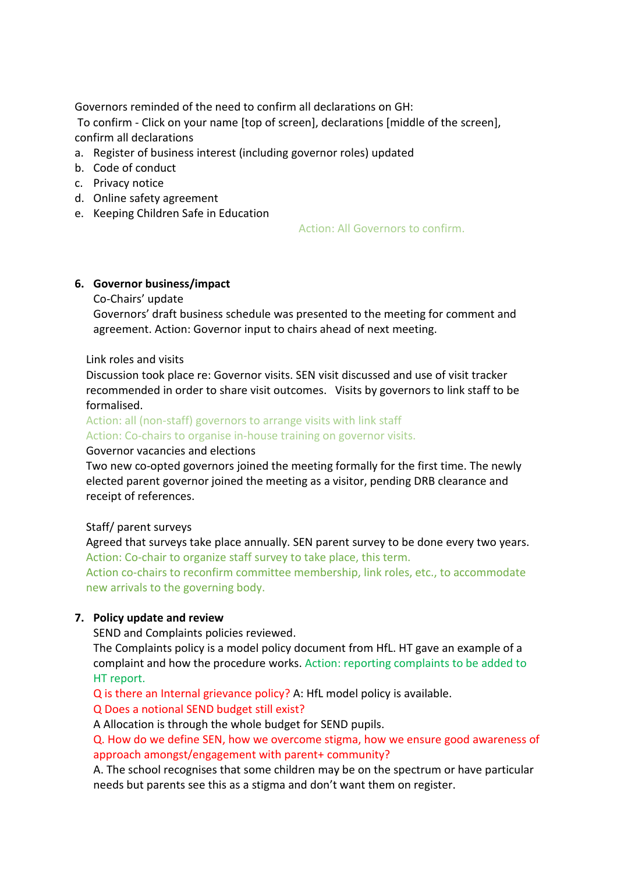Governors reminded of the need to confirm all declarations on GH:

To confirm - Click on your name [top of screen], declarations [middle of the screen], confirm all declarations

- a. Register of business interest (including governor roles) updated
- b. Code of conduct
- c. Privacy notice
- d. Online safety agreement
- e. Keeping Children Safe in Education

Action: All Governors to confirm.

#### **6. Governor business/impact**

#### Co-Chairs' update

Governors' draft business schedule was presented to the meeting for comment and agreement. Action: Governor input to chairs ahead of next meeting.

#### Link roles and visits

Discussion took place re: Governor visits. SEN visit discussed and use of visit tracker recommended in order to share visit outcomes. Visits by governors to link staff to be formalised.

Action: all (non-staff) governors to arrange visits with link staff

Action: Co-chairs to organise in-house training on governor visits.

#### Governor vacancies and elections

Two new co-opted governors joined the meeting formally for the first time. The newly elected parent governor joined the meeting as a visitor, pending DRB clearance and receipt of references.

#### Staff/ parent surveys

Agreed that surveys take place annually. SEN parent survey to be done every two years. Action: Co-chair to organize staff survey to take place, this term.

Action co-chairs to reconfirm committee membership, link roles, etc., to accommodate new arrivals to the governing body.

#### **7. Policy update and review**

SEND and Complaints policies reviewed.

The Complaints policy is a model policy document from HfL. HT gave an example of a complaint and how the procedure works. Action: reporting complaints to be added to HT report.

Q is there an Internal grievance policy? A: HfL model policy is available.

Q Does a notional SEND budget still exist?

A Allocation is through the whole budget for SEND pupils.

Q. How do we define SEN, how we overcome stigma, how we ensure good awareness of approach amongst/engagement with parent+ community?

A. The school recognises that some children may be on the spectrum or have particular needs but parents see this as a stigma and don't want them on register.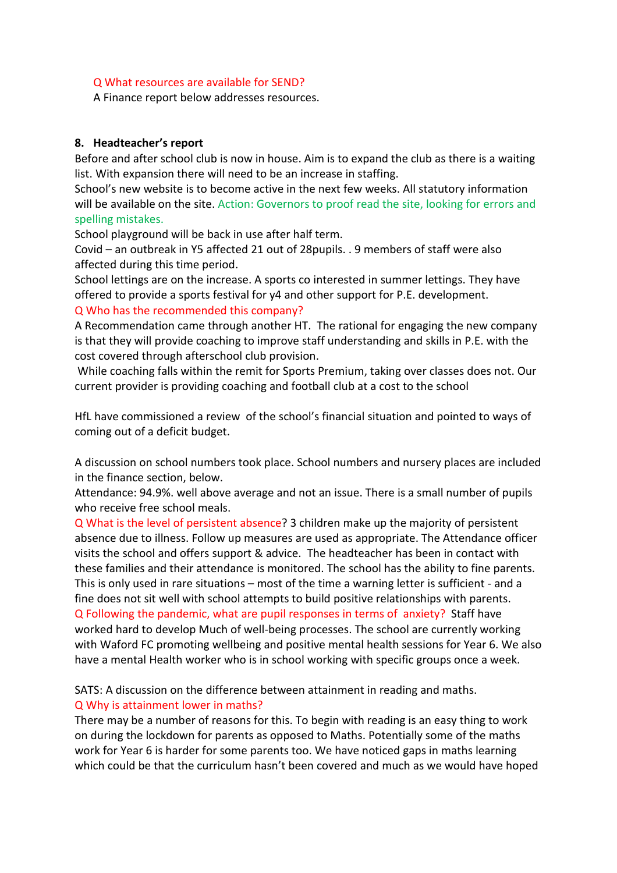#### Q What resources are available for SEND?

A Finance report below addresses resources.

#### **8. Headteacher's report**

Before and after school club is now in house. Aim is to expand the club as there is a waiting list. With expansion there will need to be an increase in staffing.

School's new website is to become active in the next few weeks. All statutory information will be available on the site. Action: Governors to proof read the site, looking for errors and spelling mistakes.

School playground will be back in use after half term.

Covid – an outbreak in Y5 affected 21 out of 28pupils. . 9 members of staff were also affected during this time period.

School lettings are on the increase. A sports co interested in summer lettings. They have offered to provide a sports festival for y4 and other support for P.E. development. Q Who has the recommended this company?

A Recommendation came through another HT. The rational for engaging the new company is that they will provide coaching to improve staff understanding and skills in P.E. with the cost covered through afterschool club provision.

While coaching falls within the remit for Sports Premium, taking over classes does not. Our current provider is providing coaching and football club at a cost to the school

HfL have commissioned a review of the school's financial situation and pointed to ways of coming out of a deficit budget.

A discussion on school numbers took place. School numbers and nursery places are included in the finance section, below.

Attendance: 94.9%. well above average and not an issue. There is a small number of pupils who receive free school meals.

Q What is the level of persistent absence? 3 children make up the majority of persistent absence due to illness. Follow up measures are used as appropriate. The Attendance officer visits the school and offers support & advice. The headteacher has been in contact with these families and their attendance is monitored. The school has the ability to fine parents. This is only used in rare situations – most of the time a warning letter is sufficient - and a fine does not sit well with school attempts to build positive relationships with parents. Q Following the pandemic, what are pupil responses in terms of anxiety? Staff have worked hard to develop Much of well-being processes. The school are currently working with Waford FC promoting wellbeing and positive mental health sessions for Year 6. We also have a mental Health worker who is in school working with specific groups once a week.

SATS: A discussion on the difference between attainment in reading and maths. Q Why is attainment lower in maths?

There may be a number of reasons for this. To begin with reading is an easy thing to work on during the lockdown for parents as opposed to Maths. Potentially some of the maths work for Year 6 is harder for some parents too. We have noticed gaps in maths learning which could be that the curriculum hasn't been covered and much as we would have hoped